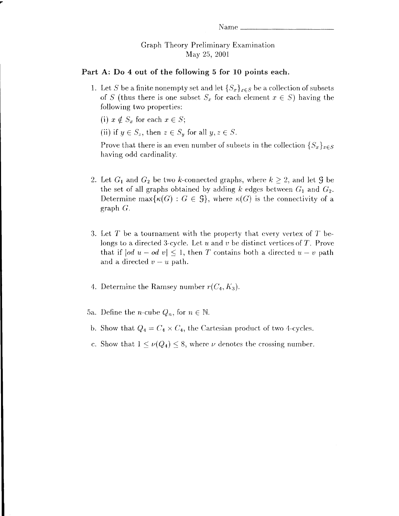## Graph Theory Preliminary Examination May 25, 2001

## Part A: Do 4 out of the following 5 for 10 points each.

1. Let S be a finite nonempty set and let  $\{S_x\}_{x\in S}$  be a collection of subsets of S (thus there is one subset  $S_x$  for each element  $x \in S$ ) having the following two properties:

(i)  $x \notin S_x$  for each  $x \in S$ ;

(ii) if  $y \in S_z$ , then  $z \in S_y$  for all  $y, z \in S$ .

Prove that there is an even number of subsets in the collection  $\{S_x\}_{x \in S}$ having odd cardinality.

- 2. Let  $G_1$  and  $G_2$  be two k-connected graphs, where  $k \geq 2$ , and let  $\mathcal G$  be the set of all graphs obtained by adding k edges between  $G_1$  and  $G_2$ . Determine max $\{\kappa(G): G \in \mathcal{G}\}\$ , where  $\kappa(G)$  is the connectivity of a graph G.
- 3. Let T be a tournament with the property that every vertex of T belongs to a directed 3-cycle. Let  $u$  and  $v$  be distinct vertices of  $T$ . Prove that if  $|od u - od v| \leq 1$ , then T contains both a directed  $u - v$  path and a directed  $v-u$  path.
- 4. Determine the Ramsey number  $r(C_4, K_3)$ .

5a. Define the *n*-cube  $Q_n$ , for  $n \in \mathbb{N}$ .

- b. Show that  $Q_4 = C_4 \times C_4$ , the Cartesian product of two 4-cycles.
- c. Show that  $1 \le \nu(Q_4) \le 8$ , where  $\nu$  denotes the crossing number.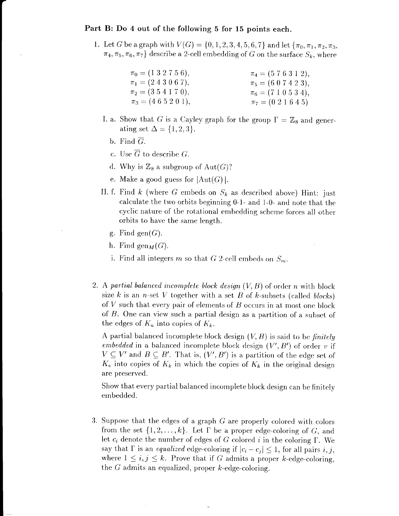## Part B: Do 4 out of the following 5 for 15 points each.

1. Let G be a graph with  $V(G) = \{0, 1, 2, 3, 4, 5, 6, 7\}$  and let  $\{\pi_0, \pi_1, \pi_2, \pi_3,$  $\pi_4, \pi_5, \pi_6, \pi_7$  describe a 2-cell embedding of G on the surface  $S_k$ , where

| $\pi_0 = (1\ 3\ 2\ 7\ 5\ 6),$ | $\pi_4 = (5 7 6 3 1 2),$     |
|-------------------------------|------------------------------|
| $\pi_1 = (2\ 4\ 3\ 0\ 6\ 7),$ | $\pi_5 = (607423),$          |
| $\pi_2 = (3\ 5\ 4\ 1\ 7\ 0),$ | $\pi_6 = (710534),$          |
| $\pi_3 = (4\ 6\ 5\ 2\ 0\ 1),$ | $\pi_7 = (0\ 2\ 1\ 6\ 4\ 5)$ |

- I. a. Show that G is a Cayley graph for the group  $\Gamma = \mathbb{Z}_8$  and generating set  $\Delta = \{1,2,3\}.$ 
	- b. Find  $\overline{G}$ .
	- c. Use  $G$  to describe  $G$ .
	- d. Why is  $\mathbb{Z}_8$  a subgroup of  $\mathrm{Aut}(G)?$
	- e. Make a good guess for  $|\mathrm{Aut}(G)|$ .
- II. f. Find k (where G embeds on  $S_k$  as described above) Hint: just calculate the two orbits beginning 0-1- and 1-0- and note that the cyclic nature of the rotational embedding scheme forces all other orbits to have the sarne lerrgth.
	- g. Find gen $(G)$ .
	- h. Find gen $_M(G)$ .
	- i. Find all integers m so that G 2-cell embeds on  $S_m$ .
- 2. A partial balanced incomplete block design  $(V, B)$  of order n with block size k is an n-set V together with a set B of k-subsets (called blocks) of  $V$  such that every pair of elements of  $B$  occurs in at most one block of  $B$ . One can view such a partial design as a partition of a subset of the edges of  $K_n$  into copies of  $K_k$ .

A partial balanced incomplete block design  $(V, B)$  is said to be finitely embedded in a balanced incomplete block design  $(V', B')$  of order v if  $V \subseteq V'$  and  $B \subseteq B'$ . That is,  $(V', B')$  is a partition of the edge set of  $K_v$  into copies of  $K_k$  in which the copies of  $K_k$  in the original design are preserved.

Show that every partial balanced incomplete block design can be finitely ernbedded.

3. Suppose that the edges of a graph  $G$  are properly colored with colors from the set  $\{1,2,\ldots,k\}$ . Let  $\Gamma$  be a proper edge-coloring of  $G$ , and let  $c_i$  denote the number of edges of G colored i in the coloring  $\Gamma$ . We say that  $\Gamma$  is an *equalized* edge-coloring if  $|c_i - c_j| \leq 1$ , for all pairs i, j, where  $1 \leq i, j \leq k$ . Prove that if G admits a proper k-edge-coloring, the G admits an equalized, proper  $k$ -edge-coloring.